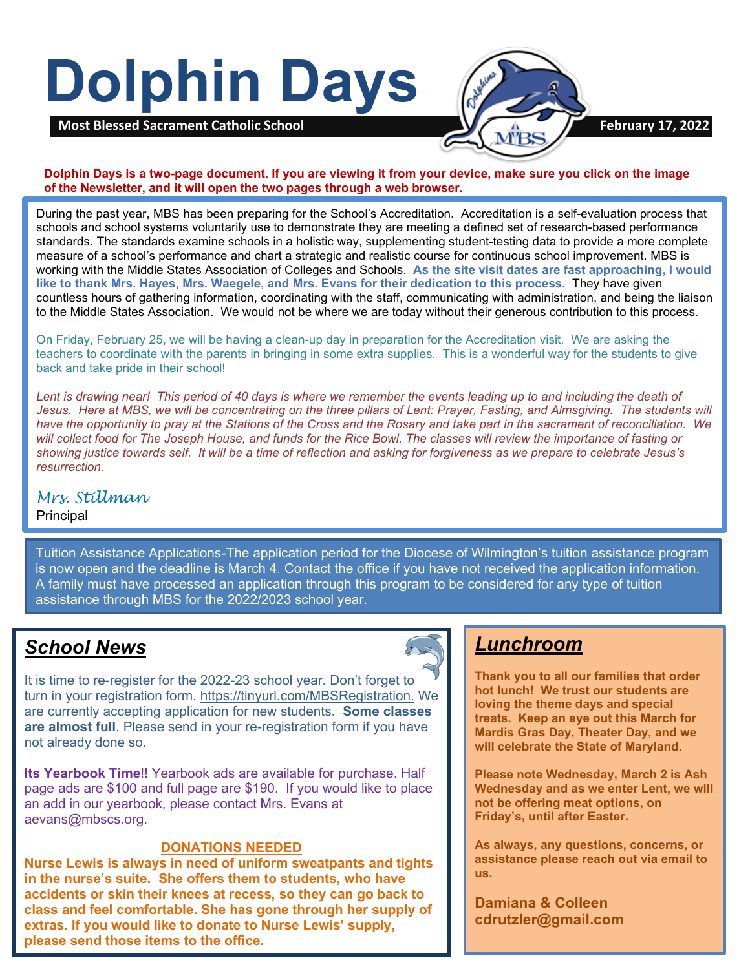# **Dolphin Days**



**Dolphin Days is a two-page document. If you are viewing it from your device, make sure you click on the image of the Newsletter, and it will open the two pages through a web browser.**

During the past year, MBS has been preparing for the School's Accreditation. Accreditation is a self-evaluation process that schools and school systems voluntarily use to demonstrate they are meeting a defined set of research-based performance standards. The standards examine schools in a holistic way, supplementing student-testing data to provide a more complete measure of a school's performance and chart a strategic and realistic course for continuous school improvement. MBS is working with the Middle States Association of Colleges and Schools. **As the site visit dates are fast approaching, I would like to thank Mrs. Hayes, Mrs. Waegele, and Mrs. Evans for their dedication to this process.** They have given countless hours of gathering information, coordinating with the staff, communicating with administration, and being the liaison to the Middle States Association. We would not be where we are today without their generous contribution to this process.

On Friday, February 25, we will be having a clean-up day in preparation for the Accreditation visit. We are asking the teachers to coordinate with the parents in bringing in some extra supplies. This is a wonderful way for the students to give back and take pride in their school!

*Lent is drawing near! This period of 40 days is where we remember the events leading up to and including the death of Jesus. Here at MBS, we will be concentrating on the three pillars of Lent: Prayer, Fasting, and Almsgiving. The students will have the opportunity to pray at the Stations of the Cross and the Rosary and take part in the sacrament of reconciliation. We will collect food for The Joseph House, and funds for the Rice Bowl. The classes will review the importance of fasting or showing justice towards self. It will be a time of reflection and asking for forgiveness as we prepare to celebrate Jesus's resurrection.*

## *Mrs. Stillman*

#### **Principal**

 A family must have processed an application through this program to be considered for any type of tuition Tuition Assistance Applications-The application period for the Diocese of Wilmington's tuition assistance program is now open and the deadline is March 4. Contact the office if you have not received the application information. assistance through MBS for the 2022/2023 school year.

## *School News*

It is time to re-register for the 2022-23 school year. Don't forget to turn in your registration form. [https://tinyurl.com/MBSRegistration.](https://nam11.safelinks.protection.outlook.com/?url=https%3A%2F%2Ftinyurl.com%2FMBSRegistration&data=04%7C01%7C%7C2161864bf0d14963e73908d9e71f5dd5%7C379336db33b747f882778ec04b5335cc%7C1%7C0%7C637794944183364680%7CUnknown%7CTWFpbGZsb3d8eyJWIjoiMC4wLjAwMDAiLCJQIjoiV2luMzIiLCJBTiI6Ik1haWwiLCJXVCI6Mn0%3D%7C3000&sdata=RQlruae44SedGo1g2kFGVSaBqwqCDuJZA2%2FJyt1WdYw%3D&reserved=0) We are currently accepting application for new students. **Some classes are almost full**. Please send in your re-registration form if you have not already done so.

**Its Yearbook Time**!! Yearbook ads are available for purchase. Half page ads are \$100 and full page are \$190. If you would like to place an add in our yearbook, please contact Mrs. Evans at aevans@mbscs.org.

#### **DONATIONS NEEDED**

**Nurse Lewis is always in need of uniform sweatpants and tights in the nurse's suite. She offers them to students, who have accidents or skin their knees at recess, so they can go back to class and feel comfortable. She has gone through her supply of extras. If you would like to donate to Nurse Lewis' supply, please send those items to the office.**

## *Lunchroom*

**Thank you to all our families that order hot lunch! We trust our students are loving the theme days and special treats. Keep an eye out this March for Mardis Gras Day, Theater Day, and we will celebrate the State of Maryland.**

**Please note Wednesday, March 2 is Ash Wednesday and as we enter Lent, we will not be offering meat options, on Friday's, until after Easter.**

**As always, any questions, concerns, or assistance please reach out via email to us.**

**Damiana & Colleen cdrutzler@gmail.com**